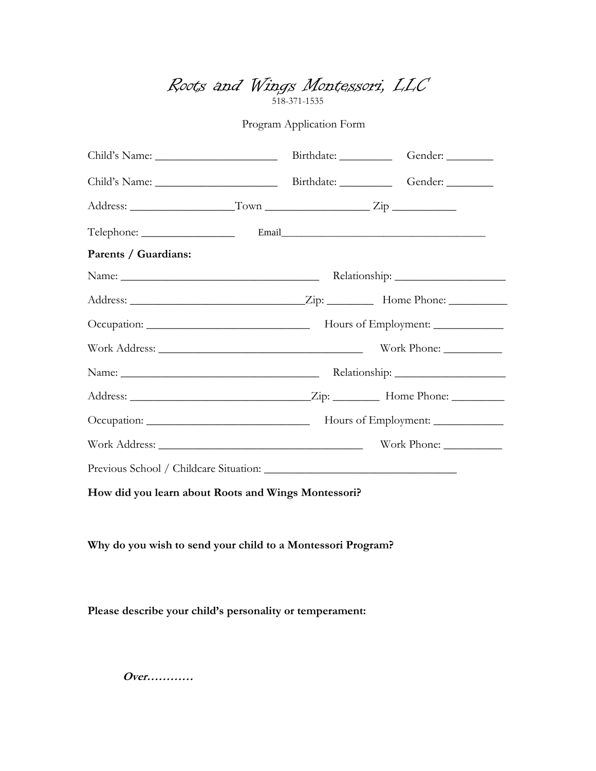Roots and Wings Montessori, LLC 518-371-1535

Program Application Form

| Parents / Guardians: |  |  |  |
|----------------------|--|--|--|
|                      |  |  |  |
|                      |  |  |  |
|                      |  |  |  |
|                      |  |  |  |
|                      |  |  |  |
|                      |  |  |  |
|                      |  |  |  |
|                      |  |  |  |
|                      |  |  |  |

**How did you learn about Roots and Wings Montessori?**

**Why do you wish to send your child to a Montessori Program?** 

**Please describe your child's personality or temperament:**

**Over…………**